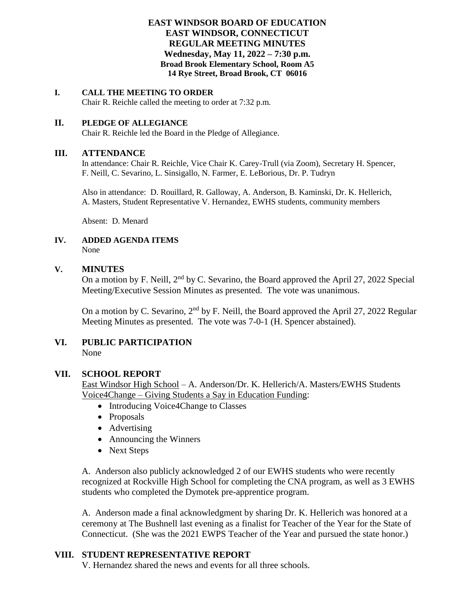### **EAST WINDSOR BOARD OF EDUCATION EAST WINDSOR, CONNECTICUT REGULAR MEETING MINUTES Wednesday, May 11, 2022 – 7:30 p.m. Broad Brook Elementary School, Room A5 14 Rye Street, Broad Brook, CT 06016**

#### **I. CALL THE MEETING TO ORDER**

Chair R. Reichle called the meeting to order at 7:32 p.m.

#### **II. PLEDGE OF ALLEGIANCE**

Chair R. Reichle led the Board in the Pledge of Allegiance.

#### **III. ATTENDANCE**

In attendance: Chair R. Reichle, Vice Chair K. Carey-Trull (via Zoom), Secretary H. Spencer, F. Neill, C. Sevarino, L. Sinsigallo, N. Farmer, E. LeBorious, Dr. P. Tudryn

Also in attendance: D. Rouillard, R. Galloway, A. Anderson, B. Kaminski, Dr. K. Hellerich, A. Masters, Student Representative V. Hernandez, EWHS students, community members

Absent: D. Menard

#### **IV. ADDED AGENDA ITEMS** None

#### **V. MINUTES**

On a motion by F. Neill, 2<sup>nd</sup> by C. Sevarino, the Board approved the April 27, 2022 Special Meeting/Executive Session Minutes as presented. The vote was unanimous.

On a motion by C. Sevarino, 2<sup>nd</sup> by F. Neill, the Board approved the April 27, 2022 Regular Meeting Minutes as presented. The vote was 7-0-1 (H. Spencer abstained).

# **VI. PUBLIC PARTICIPATION** None

### **VII. SCHOOL REPORT**

East Windsor High School – A. Anderson/Dr. K. Hellerich/A. Masters/EWHS Students Voice4Change – Giving Students a Say in Education Funding:

- Introducing Voice4Change to Classes
- Proposals
- Advertising
- Announcing the Winners
- Next Steps

A. Anderson also publicly acknowledged 2 of our EWHS students who were recently recognized at Rockville High School for completing the CNA program, as well as 3 EWHS students who completed the Dymotek pre-apprentice program.

A. Anderson made a final acknowledgment by sharing Dr. K. Hellerich was honored at a ceremony at The Bushnell last evening as a finalist for Teacher of the Year for the State of Connecticut. (She was the 2021 EWPS Teacher of the Year and pursued the state honor.)

### **VIII. STUDENT REPRESENTATIVE REPORT**

V. Hernandez shared the news and events for all three schools.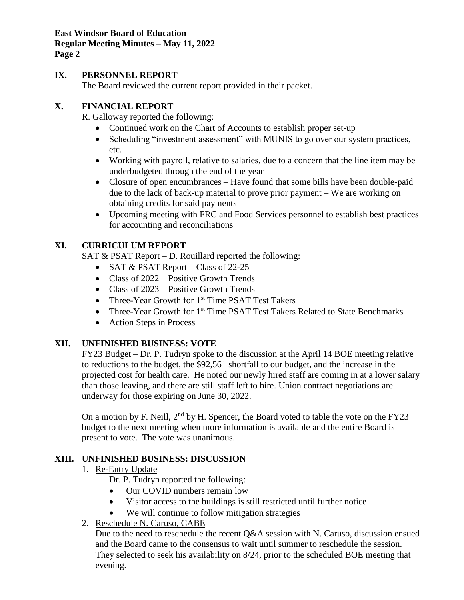**East Windsor Board of Education Regular Meeting Minutes – May 11, 2022 Page 2**

# **IX. PERSONNEL REPORT**

The Board reviewed the current report provided in their packet.

# **X. FINANCIAL REPORT**

R. Galloway reported the following:

- Continued work on the Chart of Accounts to establish proper set-up
- Scheduling "investment assessment" with MUNIS to go over our system practices, etc.
- Working with payroll, relative to salaries, due to a concern that the line item may be underbudgeted through the end of the year
- Closure of open encumbrances Have found that some bills have been double-paid due to the lack of back-up material to prove prior payment – We are working on obtaining credits for said payments
- Upcoming meeting with FRC and Food Services personnel to establish best practices for accounting and reconciliations

# **XI. CURRICULUM REPORT**

SAT & PSAT Report – D. Rouillard reported the following:

- SAT & PSAT Report Class of  $22-25$
- Class of 2022 Positive Growth Trends
- Class of 2023 Positive Growth Trends
- Three-Year Growth for 1<sup>st</sup> Time PSAT Test Takers
- Three-Year Growth for 1<sup>st</sup> Time PSAT Test Takers Related to State Benchmarks
- Action Steps in Process

# **XII. UNFINISHED BUSINESS: VOTE**

FY23 Budget – Dr. P. Tudryn spoke to the discussion at the April 14 BOE meeting relative to reductions to the budget, the \$92,561 shortfall to our budget, and the increase in the projected cost for health care. He noted our newly hired staff are coming in at a lower salary than those leaving, and there are still staff left to hire. Union contract negotiations are underway for those expiring on June 30, 2022.

On a motion by F. Neill,  $2<sup>nd</sup>$  by H. Spencer, the Board voted to table the vote on the FY23 budget to the next meeting when more information is available and the entire Board is present to vote. The vote was unanimous.

# **XIII. UNFINISHED BUSINESS: DISCUSSION**

- 1. Re-Entry Update
	- Dr. P. Tudryn reported the following:
	- Our COVID numbers remain low
	- Visitor access to the buildings is still restricted until further notice
	- We will continue to follow mitigation strategies
- 2. Reschedule N. Caruso, CABE

Due to the need to reschedule the recent O&A session with N. Caruso, discussion ensued and the Board came to the consensus to wait until summer to reschedule the session. They selected to seek his availability on 8/24, prior to the scheduled BOE meeting that evening.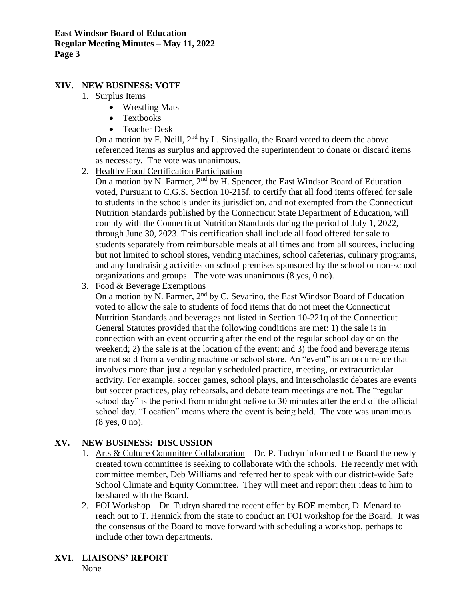# **XIV. NEW BUSINESS: VOTE**

- 1. Surplus Items
	- Wrestling Mats
	- Textbooks
	- Teacher Desk

On a motion by F. Neill,  $2<sup>nd</sup>$  by L. Sinsigallo, the Board voted to deem the above referenced items as surplus and approved the superintendent to donate or discard items as necessary. The vote was unanimous.

2. Healthy Food Certification Participation

On a motion by N. Farmer,  $2<sup>nd</sup>$  by H. Spencer, the East Windsor Board of Education voted, Pursuant to C.G.S. Section 10-215f, to certify that all food items offered for sale to students in the schools under its jurisdiction, and not exempted from the Connecticut Nutrition Standards published by the Connecticut State Department of Education, will comply with the Connecticut Nutrition Standards during the period of July 1, 2022, through June 30, 2023. This certification shall include all food offered for sale to students separately from reimbursable meals at all times and from all sources, including but not limited to school stores, vending machines, school cafeterias, culinary programs, and any fundraising activities on school premises sponsored by the school or non-school organizations and groups. The vote was unanimous (8 yes, 0 no).

3. Food & Beverage Exemptions

On a motion by N. Farmer,  $2<sup>nd</sup>$  by C. Sevarino, the East Windsor Board of Education voted to allow the sale to students of food items that do not meet the Connecticut Nutrition Standards and beverages not listed in Section 10-221q of the Connecticut General Statutes provided that the following conditions are met: 1) the sale is in connection with an event occurring after the end of the regular school day or on the weekend; 2) the sale is at the location of the event; and 3) the food and beverage items are not sold from a vending machine or school store. An "event" is an occurrence that involves more than just a regularly scheduled practice, meeting, or extracurricular activity. For example, soccer games, school plays, and interscholastic debates are events but soccer practices, play rehearsals, and debate team meetings are not. The "regular school day" is the period from midnight before to 30 minutes after the end of the official school day. "Location" means where the event is being held. The vote was unanimous (8 yes, 0 no).

### **XV. NEW BUSINESS: DISCUSSION**

- 1. Arts & Culture Committee Collaboration Dr. P. Tudryn informed the Board the newly created town committee is seeking to collaborate with the schools. He recently met with committee member, Deb Williams and referred her to speak with our district-wide Safe School Climate and Equity Committee. They will meet and report their ideas to him to be shared with the Board.
- 2. FOI Workshop Dr. Tudryn shared the recent offer by BOE member, D. Menard to reach out to T. Hennick from the state to conduct an FOI workshop for the Board. It was the consensus of the Board to move forward with scheduling a workshop, perhaps to include other town departments.
- **XVI. LIAISONS' REPORT**

None